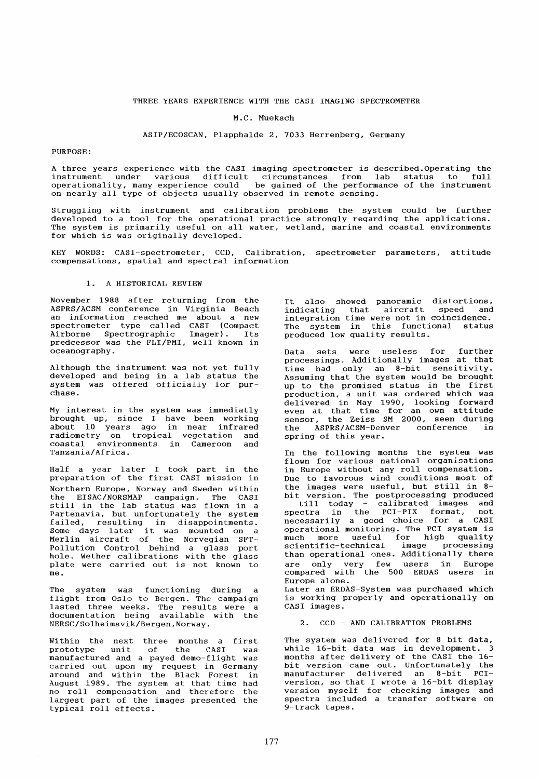## THREE YEARS EXPERIENCE WITH THE CASI IMAGING SPECTROMETER

### M.C. Mueksch

# ASIP/ECOSCAN, Plapphalde 2, 7033 Herrenberg, Germany

#### PURPOSE:

A three years experience with the CASI imaging spectrometer is described.Operating the instrument under various difficult circumstances from lab status to full operationality, many experience could be gained of the performance of the instrument on nearly all type of objects usually observed in remote sensing.

Struggling with instrument and calibration problems the system could be further developed to a tool for the operational practice strongly regarding the applications. The system is primarily useful on all water, wetland, marine and coastal environments for which is was originally developed.

KEY WORDS: CASI-spectrometer, CCD, Calibration, spectrometer parameters, attitude compensations, spatial and spectral information

# 1. A HISTORICAL REVIEW

November 1988 after returning from the ASPRS/ACSM conference in Virginia Beach an information reached me about a new spectrometer type called CASI (Compact Airborne Spectrographic Imager). Its predcessor was the FLI/PMI, well known in oceanography.

Although the instrument was not yet fully developed and being in a lab status the system was offered officially for purchase.

My interest in the system was immediatly brought up, since I have been working about 10 years ago in near infrared radiometry on tropical vegetation and coastal environments in Cameroon and Tanzania/Africa.

Half a year later I took part in the preparation of the first CASI mission in Northern Europe, Norway and Sweden within the EISAC/NORSMAP campaign. The CASI still in the lab status was flown in a Partenavia, but unfortunately the system existence, and anti-canadery and system<br>failed, resulting in disappointments.<br>Some days later it was mounted on a Merlin aircraft of the Norvegian SFT-Pollution Control behind a glass port hole. Wether calibrations with the glass plate were carried out is not known to me.

The system was functioning during a flight from Oslo to Bergen. The campaign ringht from office for Bergen. The campaign<br>lasted three weeks. The results were a documentation being available with the NERSC/Solheimsvik/Bergen,Norway.

Within the next three months a first prototype unit of the CASI was manufactured and a payed demo-flight was carried out upon my request in Germany around and within the Black Forest in August 1989. The system at that time had no roll compensation and therefore the largest part of the images presented the typical roll effects.

It also showed panoramic distortions, indicating that aircraft speed and integration time were not in coincidence. The system in this functional status produced low quality results.

Data sets were useless for further processings. Addi tionally images at that processings. Madritonarry images as emast Assuming that the system would be brought Assuming that the system would be brought<br>up to the promised status in the first production, a unit was ordered which was delivered in May 1990, looking forward<br>even at that time for an own attitude sensor, the Zeiss SM 2000, seen during the ASPRS/ACSM-Denver conference in spring of this year.

In the following months the system was flown for various national organisations in Europe without any roll compensation. Due to favorous wind conditions most of the images were useful, but still in 8 bit version. The postprocessing produced version. The postprocessing produced<br>till today - calibrated images and spectra in the PCI-PIX format, not necessarily a good choice for a CASI operational monitoring. The PCI system is much more useful for high quality much more uberuf for high quarrely scientific-technical image processing<br>than operational ones. Additionally there are only very few users in Europe compared with the 500 ERDAS users in Europe alone. Later an ERDAS-System was purchased which

is working properly and operationally on CASI images.

2. CCD - AND CALIBRATION PROBLEMS

The system was delivered for 8 bit data, while 16-bit data was in development. 3 months after delivery of the CASI the 16 bit version came out. Unfortunately the manufacturer delivered an 8-bit PCIversion, so that I wrote a 16-bit display version myself for checking images and spectra included a transfer software on 9-track tapes.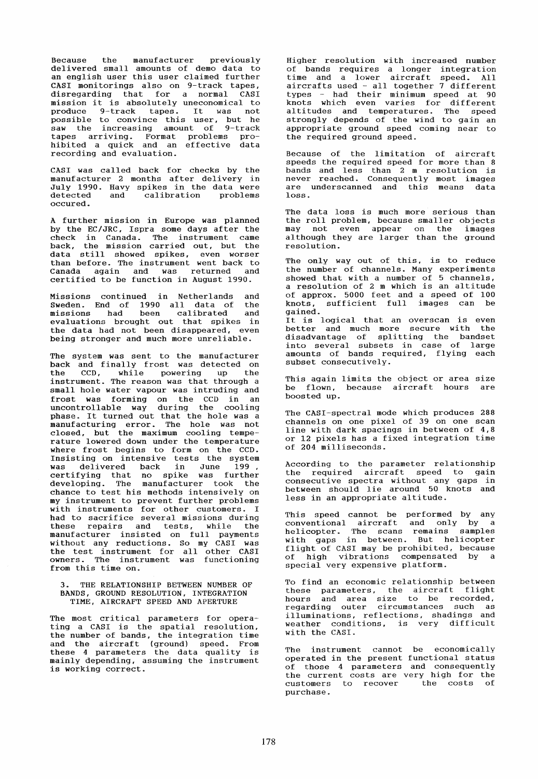Because the manufacturer previously delivered small amounts of demo data to an english user this user claimed further CASI monitorings also on 9-track tapes, disregarding that for a normal CASI mission it is absolutely uneconomical to produce 9-track tapes. It was not possible to convince this user, but he saw the increasing amount of 9-track tapes arriving. Format problems prohibited a quick and an effective data recording and evaluation.

CASI was called back for checks by the manufacturer 2 months after delivery in July 1990. Havy spikes in the data were detected and calibration problems occured.

A further mission in Europe was planned by the EC/JRC, Ispra some days after the check in Canada. The instrument came back, the mission carried out, but the data still showed spikes, even worser than before. The instrument went back to Canada again and was returned and certified to be function in August 1990.

Missions continued in Netherlands and<br>Sweden, End of 1990 all data of the Sweden. End of 1990 all data of missions had been calibrated and evaluations brought out that spikes in the data had not been disappeared, even being stronger and much more unreliable.

The system was sent to the manufacturer back and finally frost was detected on<br>the CCD, while powering up the the CCD, while powering up instrument. The reason was that through a small hole water vapour was intruding and frost was forming on the CCD in an uncontrollable way during the cooling phase. It turned out that the hole was a manufacturing error. The hole was not closed, but the maximum cooling temperature lowered down under the temperature where frost begins to form on the CCD. Insisting on intensive tests the system was delivered back in June 199, certifying that no spike was further developing. The manufacturer took the chance to test his methods intensively on my instrument to prevent further problems with instruments for other customers. I had to sacrifice several missions during these repairs and tests, while the manufacturer insisted on full payments without any reductions. So my CASI was the test instrument for all other CASI<br>owners. The instrument was functioning from this time on.

### THE RELATIONSHIP BETWEEN NUMBER OF BANDS, GROUND RESOLUTION, INTEGRATION TIME, AIRCRAFT SPEED AND APERTURE

The most critical parameters for operating a CASI is the spatial resolution, the number of bands, the integration time and the aircraft (ground) speed. From these 4 parameters the data quality is mainly depending, assuming the instrument is working correct.

Higher resolution wi th increased number of bands requires a longer integration time and a lower aircraft speed. All aircrafts used - all together 7 different types had their minimum speed at 90 knots whieh even varies for different altitudes and temperatures. The speed strongly depends of the wind to gain an appropriate ground speed eoming near to the required ground speed.

Because of the limitation of aircraft speeds the required speed for more than 8 bands and less than 2 m resolution is never reached. Consequently most images never reached. Consequently most images<br>are underscanned and this means data loss.

The data loss is much more serious than the roll problem, because smaller objects may not even appear on the images although they are larger than the ground resolution.

The only way out of this, is to reduce the number of channels. Many experiments showed that with a number of 5 ehannels, a resolution of 2 m which is an altitude of approx. 5000 feet and a speed of 100 knots, sufficient full images ean be gained.

It is logical that an overscan is even better and much more secure with the disadvantage of splitting the bandset into several subsets in ease of large amounts of bands required, flying each subset conseeutively.

This again limits the object or area size be flown, because aireraft hours are boosted up.

The CASI-spectral mode which produces 288<br>channels on one pixel of 39 on one scan line with dark spacings in between of  $4,8$ or 12 pixels has a fixed integration time of 204 milliseeonds.

According to the parameter relationship the required aireraft speed to gain eonsecutive spectra without any gaps in<br>between should lie around 50 knots and less in an appropriate altitude.

This speed eannot be performed by any eonventional aireraft and only by a helieopter. The seans remains sampIes with gaps in between. But helicopter flight of CASI may be prohibited, because of high vibrations eompensated by a special very expensive platform.

To find an eeonomie relationship between these parameters, the aireraft flight hours and area size to be recorded, regarding outer circumstances such as<br>illuminations, reflections, shadings and illuminations, reflections, shadings and<br>weather conditions, is very difficult with the CASI.

The instrument cannot be economically operated in the present functional status of those 4 parameters and eonsequently the eurrent costs are very high for the eustomers to reeover the costs of purehase.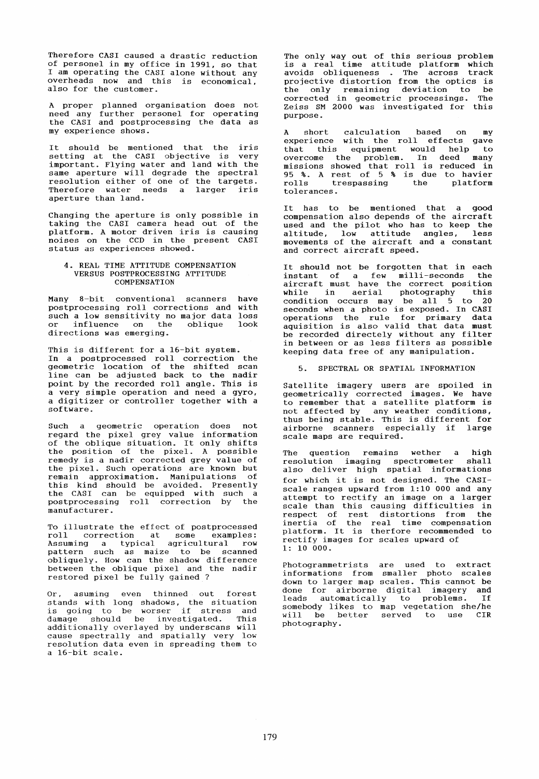Therefore CASI caused a drastic reduction of personel in my office in 1991, so that I am operating the CASI alone without any overheads now and this is economical, also for the customer.

A proper planned organisation does not need any further personel for operating the CASI and postprocessing the data as my experience shows.

It should be mentioned that the iris<br>setting at the CASI objective is very setting at the CASI objective is very<br>important. Flying water and land with the important. Flying water and land with the same aperture will degrade the spectral resolution either of one of the targets. Therefore water needs a larger iris aperture than land.

Changing the aperture is only possible in taking the CASI camera head out of the platform. A motor driven iris is causing noises on the CCD in the present CASI status as experiences showed.

### 4. REAL TIME ATTITUDE COMPENSATION VERSUS POSTPROCESSING ATTITUDE COMPENSATION

Many 8-bit conventional scanners have postprocessing roll corrections and with postprocessing form corrections and wrent or influence on the oblique directions was emerging. look

This is different for a 16-bit system. In a postprocessed roll correction the geometrie location of the shifted scan line can be adjusted back to the nadir point by the recorded roll angle. This is a very simple operation and need a gyro, a digitizer or controller together with a software.

Such a geometrie operation does not regard the pixel grey value information of the oblique situation. It only shifts the position of the pixel. A possible remedy is a nadir corrected grey value of the pixel. Such operations are known but remain approximation. Manipulations of this kind should be avoided. Presently the CASI can be equipped with such a<br>postprocessing roll correction by the manufacturer.

To illustrate the effect of postprocessed roll correction at some examples: Assuming a typical agricultural row<br>pattern such as maize to be scanned pattern such as maize to be scanned<br>obliquely. How can the shadow difference between the oblique pixel and the nadir restored pixel be fully gained ?

Or, asuming even thinned out forest stands with long shadows, the situation is going to be worser if stress and damage should be investigated. This additionally overlayed by underscans will cause spectrally and spatially very low resolution data even in spreading them to a 16-bit scale.

The only way out of this serious problem is a real time attitude platform which avoids obliqueness . The across track<br>projective distortion from the optics is the only remaining deviation to be corrected in geometrie processings. The Zeiss SM 2000 was investigated for this purpose.

A short calculation based on my experience with the roll effects gave that this equipment would help to overcome the problem. In deed many missions showed that roll is reduced in 95 %. A rest of 5 % is due to havier rolls trespassing the platform rolls trespassing<br>tolerances.

It has to be mentioned that a good compensation also depends of the aircraft used and the pilot who has to keep the altitude, low attitude angles, less movements of the aircraft and a constant and correct aircraft speed.

It should not be forgotten that in each instant of a few milli-seconds the aircraft must have the correct position while in aerial photography this white in defial photography chips<br>condition occurs may be all 5 to 20 seconds when a photo is exposed. In CASI operations the rule for primary data aquisi tion is also valid that data must be recorded directely without any filter in between or as less filters as possible keeping data free of any manipulation.

5. SPECTRAL OR SPATIAL INFORMATION

Satellite imagery users are spoiled in geometrically corrected images. We have to remember that a satellite platform is not affected by any weather conditions, thus being stable. This is different for airborne scanners especially if large scale maps are required.

The question remains wether a high resolution imaging spectrometer shall also deliver high spatial informations for which it is not designed. The CASIscale ranges upward from  $1:10$  000 and any attempt to rectify an image on a larger scale than this causing difficulties in respect of rest distortions from the inertia of the real time compensation platform. It is therfore recommended to rectify images for scales upward of 1: 10 000.

Photogrammetrists are used to extract informations from smaller photo scales down to larger map scales. This cannot be done for airborne digital imagery and done for afficine digital finagery and<br>leads automatically to problems. If somebody likes to map vegetation she/he will be better served to use CIR photography.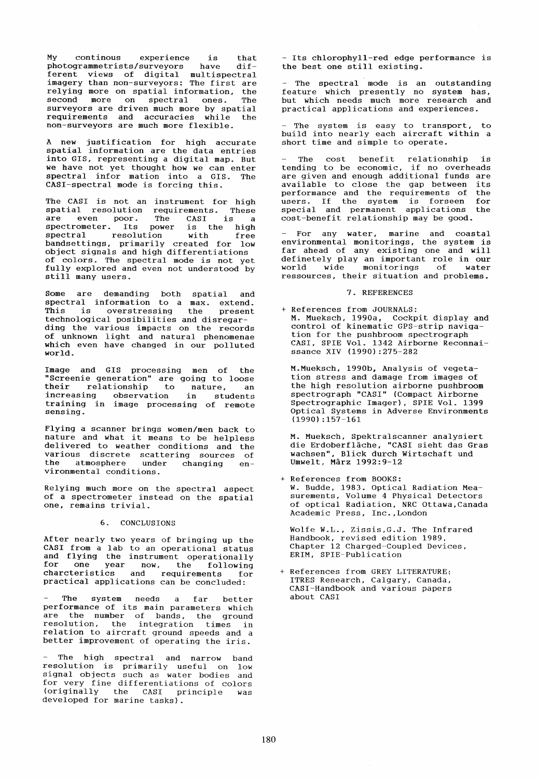My continous experience is that photogrammetrists/surveyors have different views of digital multispectral imagery than non-surveyors: The first are relying more on spatial information, the<br>second more on spectral ones. The second more on spectral ones. surveyors are driven much more by spatial requirements and accuracies while the non-surveyors are much more flexible.

A new justification for high accurate spatial information are the data entries spatial information are the data entries<br>into GIS, representing a digital map. But we have not yet thought how we can enter spectral infor mation into a GIS. The CASI-spectral mode is forcing this.

The CASI is not an instrument for high spatial resolution requirements. These<br>are even poor. The CASI is a<br>spectrometer. Its power is the high are even poor. The CASI is a<br>spectrometer. Its power is the high<br>spectral resolution with free resolution with free<br>s, primarily created for low bandsettings, primarily created for object signals and high differentiations of colors. The spectral mode is not yet fully explored and even not understood by still many users.

Some are demanding both spatial and spectral information to a max. extend. This is overstressing the present technological posibilities and disregarding the various impacts on the records of unknown light and natural phenomenae which even have changed in our polluted world.

Image and GIS processing men of the "Screenie generation" are going to loose their relationship to nature, an increasing observation in students increasing observation in students<br>training in image processing of remote sensing.

Flying a scanner brings women/men back to nature and what it means to be helpless delivered to weather conditions and the various discrete scattering sources of<br>the atmosphere under changing environmental conditions.

Relying much more on the spectral aspect of a spectrometer instead on the spatial one, remains trivial.

### 6. CONCLUSIONS

After nearly two years of bringing up the CASI from a lab to an operational status and flying the instrument operationally for one year now, the following charcteristics and requirements for practical applications can be concluded:

- The system needs a far better<br>performance of its main-parameters which performance of its main parameters which<br>are the number of bands, the ground resolution, the integration times in relation to aircraft ground speeds and a better improvement of operating the iris.

The high spectral and narrow band resolution is primarily useful on low signal objects such as water bodies and for very fine differentiations of colors (originally the CASI principle was developed for marine tasks).

- Its chlorophyll-red edge performance is the best one still existing.

The spectral mode is an outstanding feature which presently no system has, but which needs much more research and practical applications and experiences.

- The system is easy to transport, to build into nearly each aircraft within a short time and simple to operate.

The cost benefit relationship is tending to be economic, if no overheads are given and enough additional funds are available to close the gap between its<br>performance and the requirements of the performance and the requirements of the users. If the system is forseen for special and permanent applications the special and permanent applications the<br>cost-benefit relationship may be good.

For any water, marine and coastal environmental monitorings, the system is far ahead of any existing one and will definetely play an important role in our<br>world wide monitorings of water world wide monitorings of ressources, their situation and problems.

# 7. REFERENCES

+ References from JOURNALS: M. Mueksch, 1990a, Cockpit display and control of kinematic GPS-strip navigation for the pushbroom spectrograph CASI, SPIE Vol. 1342 Airborne Reconnaissance XIV (1990):275-282

M.Mueksch, 1990b, Analysis of vegetation stress and damage from images of the high resolution airborne pushbroom spectrograph "CASI" (Compact Airborne Spectrographic Imager), SPIE Vol. 1399 Optical Systems in Adverse Environments (1990) :157-161

M. Mueksch, Spektralscanner analysiert die Erdoberfläche, "CASI sieht das Gras wachsen", Blick durch Wirtschaft und Umwelt, März 1992:9-12

+ References from BOOKS: W. Budde, 1983. Optical Radiation Measurements, Volume 4 Physical Detectors of optical Radiation, NRC Ottawa,Canada Academic Press, Inc.,London

Wolfe W.L., Zissis,G.J. The Infrared Handbook, revised edition 1989. Chapter 12 Charged-Coupled Devices, ERIM, SPIE-Publication

References from GREY LITERATURE; ITRES Research, Calgary, Canada, CASI-Handbook and various papers about CASI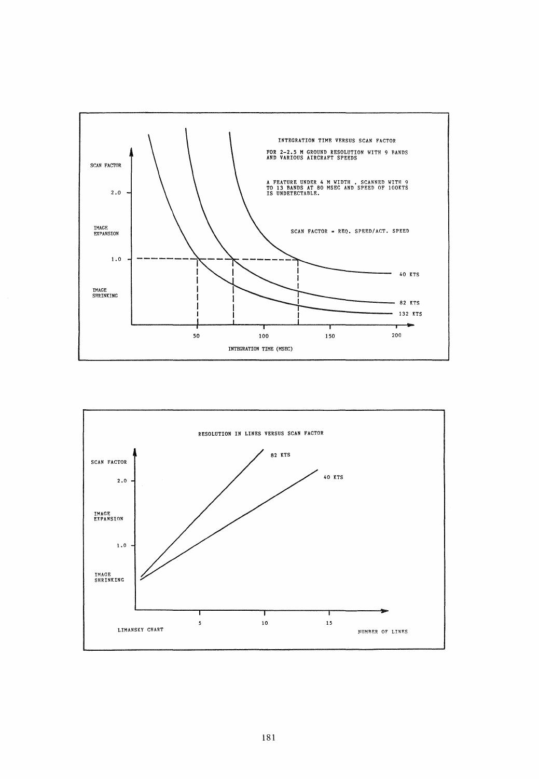